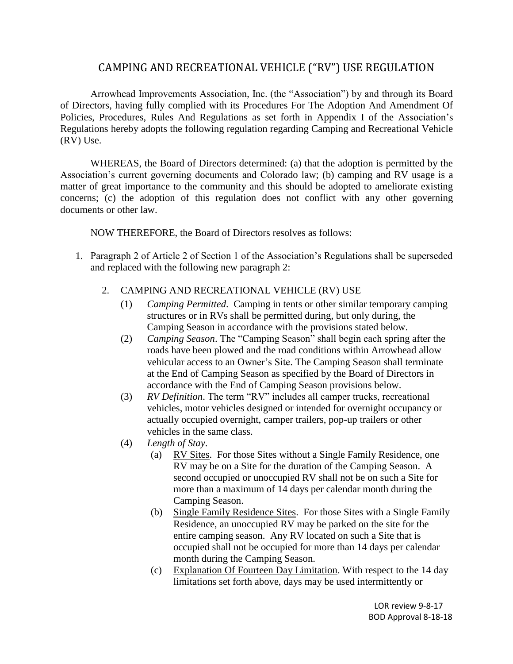## CAMPING AND RECREATIONAL VEHICLE ("RV") USE REGULATION

Arrowhead Improvements Association, Inc. (the "Association") by and through its Board of Directors, having fully complied with its Procedures For The Adoption And Amendment Of Policies, Procedures, Rules And Regulations as set forth in Appendix I of the Association's Regulations hereby adopts the following regulation regarding Camping and Recreational Vehicle (RV) Use.

WHEREAS, the Board of Directors determined: (a) that the adoption is permitted by the Association's current governing documents and Colorado law; (b) camping and RV usage is a matter of great importance to the community and this should be adopted to ameliorate existing concerns; (c) the adoption of this regulation does not conflict with any other governing documents or other law.

NOW THEREFORE, the Board of Directors resolves as follows:

- 1. Paragraph 2 of Article 2 of Section 1 of the Association's Regulations shall be superseded and replaced with the following new paragraph 2:
	- 2. CAMPING AND RECREATIONAL VEHICLE (RV) USE
		- (1) *Camping Permitted*. Camping in tents or other similar temporary camping structures or in RVs shall be permitted during, but only during, the Camping Season in accordance with the provisions stated below.
		- (2) *Camping Season*. The "Camping Season" shall begin each spring after the roads have been plowed and the road conditions within Arrowhead allow vehicular access to an Owner's Site. The Camping Season shall terminate at the End of Camping Season as specified by the Board of Directors in accordance with the End of Camping Season provisions below.
		- (3) *RV Definition*. The term "RV" includes all camper trucks, recreational vehicles, motor vehicles designed or intended for overnight occupancy or actually occupied overnight, camper trailers, pop-up trailers or other vehicles in the same class.
		- (4) *Length of Stay*.
			- (a) RV Sites. For those Sites without a Single Family Residence, one RV may be on a Site for the duration of the Camping Season. A second occupied or unoccupied RV shall not be on such a Site for more than a maximum of 14 days per calendar month during the Camping Season.
			- (b) Single Family Residence Sites. For those Sites with a Single Family Residence, an unoccupied RV may be parked on the site for the entire camping season. Any RV located on such a Site that is occupied shall not be occupied for more than 14 days per calendar month during the Camping Season.
			- (c) Explanation Of Fourteen Day Limitation. With respect to the 14 day limitations set forth above, days may be used intermittently or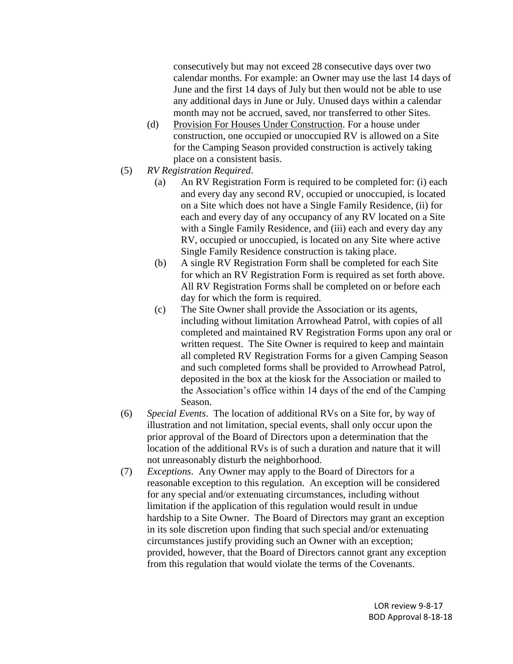consecutively but may not exceed 28 consecutive days over two calendar months. For example: an Owner may use the last 14 days of June and the first 14 days of July but then would not be able to use any additional days in June or July. Unused days within a calendar month may not be accrued, saved, nor transferred to other Sites.

- (d) Provision For Houses Under Construction. For a house under construction, one occupied or unoccupied RV is allowed on a Site for the Camping Season provided construction is actively taking place on a consistent basis.
- (5) *RV Registration Required*.
	- (a) An RV Registration Form is required to be completed for: (i) each and every day any second RV, occupied or unoccupied, is located on a Site which does not have a Single Family Residence, (ii) for each and every day of any occupancy of any RV located on a Site with a Single Family Residence, and (iii) each and every day any RV, occupied or unoccupied, is located on any Site where active Single Family Residence construction is taking place.
	- (b) A single RV Registration Form shall be completed for each Site for which an RV Registration Form is required as set forth above. All RV Registration Forms shall be completed on or before each day for which the form is required.
	- (c) The Site Owner shall provide the Association or its agents, including without limitation Arrowhead Patrol, with copies of all completed and maintained RV Registration Forms upon any oral or written request. The Site Owner is required to keep and maintain all completed RV Registration Forms for a given Camping Season and such completed forms shall be provided to Arrowhead Patrol, deposited in the box at the kiosk for the Association or mailed to the Association's office within 14 days of the end of the Camping Season.
- (6) *Special Events*. The location of additional RVs on a Site for, by way of illustration and not limitation, special events, shall only occur upon the prior approval of the Board of Directors upon a determination that the location of the additional RVs is of such a duration and nature that it will not unreasonably disturb the neighborhood.
- (7) *Exceptions*. Any Owner may apply to the Board of Directors for a reasonable exception to this regulation. An exception will be considered for any special and/or extenuating circumstances, including without limitation if the application of this regulation would result in undue hardship to a Site Owner. The Board of Directors may grant an exception in its sole discretion upon finding that such special and/or extenuating circumstances justify providing such an Owner with an exception; provided, however, that the Board of Directors cannot grant any exception from this regulation that would violate the terms of the Covenants.